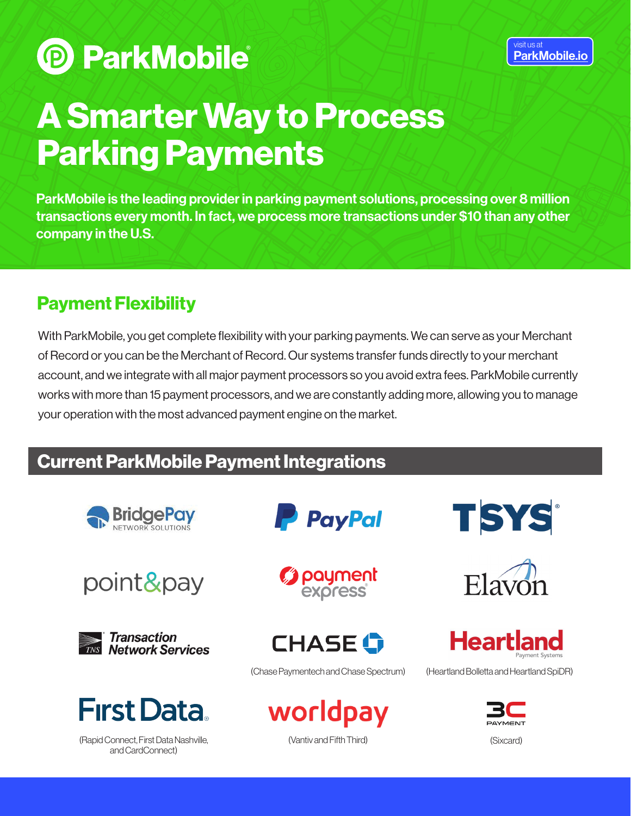**P ParkMobile** 

# A Smarter Way to Process Parking Payments

ParkMobile is the leading provider in parking payment solutions, processing over 8 million transactions every month. In fact, we process more transactions under \$10 than any other company in the U.S.

## Payment Flexibility

With ParkMobile, you get complete flexibility with your parking payments. We can serve as your Merchant of Record or you can be the Merchant of Record. Our systems transfer funds directly to your merchant account, and we integrate with all major payment processors so you avoid extra fees. ParkMobile currently works with more than 15 payment processors, and we are constantly adding more, allowing you to manage your operation with the most advanced payment engine on the market.

## Current ParkMobile Payment Integrations









(Rapid Connect, First Data Nashville, and CardConnect)







(Chase Paymentech and Chase Spectrum) (Heartland Bolletta and Heartland SpiDR)